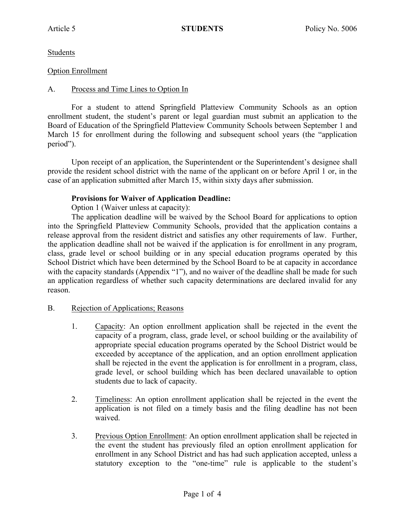Students

## Option Enrollment

# A. Process and Time Lines to Option In

For a student to attend Springfield Platteview Community Schools as an option enrollment student, the student's parent or legal guardian must submit an application to the Board of Education of the Springfield Platteview Community Schools between September 1 and March 15 for enrollment during the following and subsequent school years (the "application period").

Upon receipt of an application, the Superintendent or the Superintendent's designee shall provide the resident school district with the name of the applicant on or before April 1 or, in the case of an application submitted after March 15, within sixty days after submission.

## **Provisions for Waiver of Application Deadline:**

Option 1 (Waiver unless at capacity):

The application deadline will be waived by the School Board for applications to option into the Springfield Platteview Community Schools, provided that the application contains a release approval from the resident district and satisfies any other requirements of law. Further, the application deadline shall not be waived if the application is for enrollment in any program, class, grade level or school building or in any special education programs operated by this School District which have been determined by the School Board to be at capacity in accordance with the capacity standards (Appendix "1"), and no waiver of the deadline shall be made for such an application regardless of whether such capacity determinations are declared invalid for any reason.

#### B. Rejection of Applications; Reasons

- 1. Capacity: An option enrollment application shall be rejected in the event the capacity of a program, class, grade level, or school building or the availability of appropriate special education programs operated by the School District would be exceeded by acceptance of the application, and an option enrollment application shall be rejected in the event the application is for enrollment in a program, class, grade level, or school building which has been declared unavailable to option students due to lack of capacity.
- 2. Timeliness: An option enrollment application shall be rejected in the event the application is not filed on a timely basis and the filing deadline has not been waived.
- 3. Previous Option Enrollment: An option enrollment application shall be rejected in the event the student has previously filed an option enrollment application for enrollment in any School District and has had such application accepted, unless a statutory exception to the "one-time" rule is applicable to the student's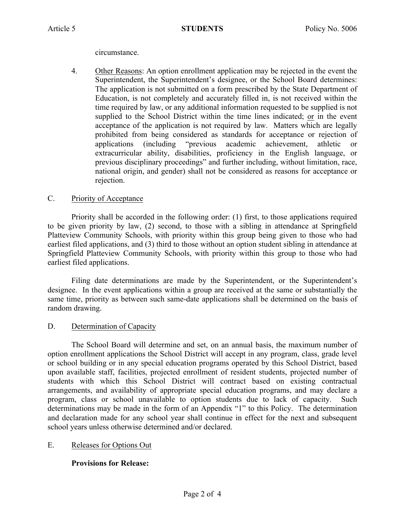circumstance.

4. Other Reasons: An option enrollment application may be rejected in the event the Superintendent, the Superintendent's designee, or the School Board determines: The application is not submitted on a form prescribed by the State Department of Education, is not completely and accurately filled in, is not received within the time required by law, or any additional information requested to be supplied is not supplied to the School District within the time lines indicated; or in the event acceptance of the application is not required by law. Matters which are legally prohibited from being considered as standards for acceptance or rejection of applications (including "previous academic achievement, athletic or extracurricular ability, disabilities, proficiency in the English language, or previous disciplinary proceedings" and further including, without limitation, race, national origin, and gender) shall not be considered as reasons for acceptance or rejection.

# C. Priority of Acceptance

Priority shall be accorded in the following order: (1) first, to those applications required to be given priority by law, (2) second, to those with a sibling in attendance at Springfield Platteview Community Schools, with priority within this group being given to those who had earliest filed applications, and (3) third to those without an option student sibling in attendance at Springfield Platteview Community Schools, with priority within this group to those who had earliest filed applications.

Filing date determinations are made by the Superintendent, or the Superintendent's designee. In the event applications within a group are received at the same or substantially the same time, priority as between such same-date applications shall be determined on the basis of random drawing.

# D. Determination of Capacity

The School Board will determine and set, on an annual basis, the maximum number of option enrollment applications the School District will accept in any program, class, grade level or school building or in any special education programs operated by this School District, based upon available staff, facilities, projected enrollment of resident students, projected number of students with which this School District will contract based on existing contractual arrangements, and availability of appropriate special education programs, and may declare a program, class or school unavailable to option students due to lack of capacity. Such determinations may be made in the form of an Appendix "1" to this Policy. The determination and declaration made for any school year shall continue in effect for the next and subsequent school years unless otherwise determined and/or declared.

# E. Releases for Options Out

# **Provisions for Release:**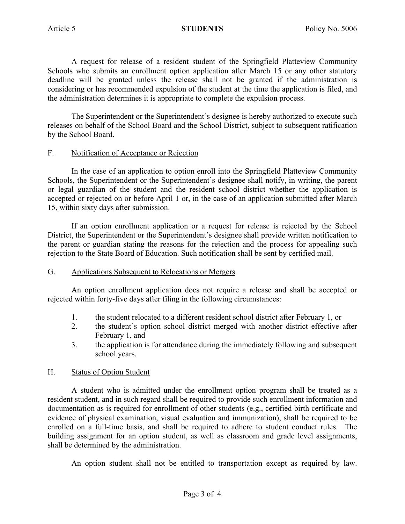A request for release of a resident student of the Springfield Platteview Community Schools who submits an enrollment option application after March 15 or any other statutory deadline will be granted unless the release shall not be granted if the administration is considering or has recommended expulsion of the student at the time the application is filed, and the administration determines it is appropriate to complete the expulsion process.

The Superintendent or the Superintendent's designee is hereby authorized to execute such releases on behalf of the School Board and the School District, subject to subsequent ratification by the School Board.

## F. Notification of Acceptance or Rejection

In the case of an application to option enroll into the Springfield Platteview Community Schools, the Superintendent or the Superintendent's designee shall notify, in writing, the parent or legal guardian of the student and the resident school district whether the application is accepted or rejected on or before April 1 or, in the case of an application submitted after March 15, within sixty days after submission.

If an option enrollment application or a request for release is rejected by the School District, the Superintendent or the Superintendent's designee shall provide written notification to the parent or guardian stating the reasons for the rejection and the process for appealing such rejection to the State Board of Education. Such notification shall be sent by certified mail.

#### G. Applications Subsequent to Relocations or Mergers

An option enrollment application does not require a release and shall be accepted or rejected within forty-five days after filing in the following circumstances:

- 1. the student relocated to a different resident school district after February 1, or
- 2. the student's option school district merged with another district effective after February 1, and
- 3. the application is for attendance during the immediately following and subsequent school years.

## H. Status of Option Student

A student who is admitted under the enrollment option program shall be treated as a resident student, and in such regard shall be required to provide such enrollment information and documentation as is required for enrollment of other students (e.g., certified birth certificate and evidence of physical examination, visual evaluation and immunization), shall be required to be enrolled on a full-time basis, and shall be required to adhere to student conduct rules. The building assignment for an option student, as well as classroom and grade level assignments, shall be determined by the administration.

An option student shall not be entitled to transportation except as required by law.